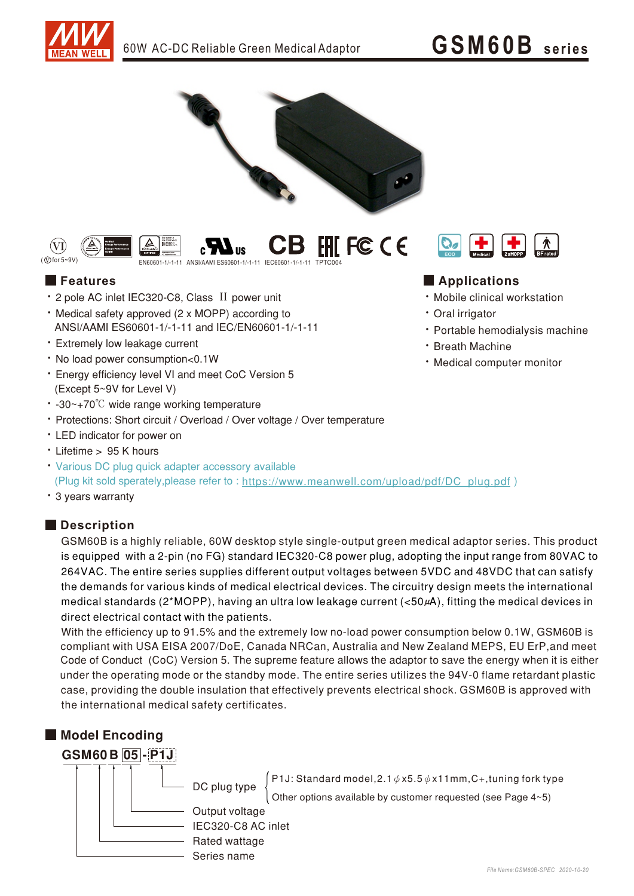· Mobile clinical workstation

**+** 

• Medical computer monitor

• Portable hemodialysis machine

+

· Oral irrigator

**· Breath Machine** 





## **Features Features Features Features Features Features Features Features Features Features Features Features Features Features Features Features Features Features Features Features F**

- 2 pole AC inlet IEC320-C8, Class II power unit
- Medical safety approved (2 x MOPP) according to ANSI/AAMI ES60601-1/-1-11 and IEC/EN60601-1/-1-11
- Extremely low leakage current
- No load power consumption<0.1W
- Energy efficiency level VI and meet CoC Version 5 (Except 5~9V for Level V)
- -30~+70℃ wide range working temperature
- Protections: Short circuit / Overload / Over voltage / Over temperature
- LED indicator for power on
- Lifetime > 95 K hours
- Various DC plug quick adapter accessory available (Plug kit sold sperately, please refer to : https://www.meanwell.com/upload/pdf/DC\_plug.pdf)
- 3 years warranty

## **Description**

GSM60B is a highly reliable, 60W desktop style single-output green medical adaptor series. This product is equipped with a 2-pin (no FG) standard IEC320-C8 power plug, adopting the input range from 80VAC to 264VAC. The entire series supplies different output voltages between 5VDC and 48VDC that can satisfy the demands for various kinds of medical electrical devices. The circuitry design meets the international medical standards (2\*MOPP), having an ultra low leakage current (<50µA), fitting the medical devices in direct electrical contact with the patients.

With the efficiency up to 91.5% and the extremely low no-load power consumption below 0.1W, GSM60B is under the operating mode or the standby mode. The entire series utilizes the 94V-0 flame retardant plastic case, providing the double insulation that effectively prevents electrical shock. GSM60B is approved with the international medical safety certificates. Code of Conduct (CoC) Version 5. The supreme feature allows the adaptor to save the energy when it is either compliant with USA EISA 2007/DoE, Canada NRCan, Australia and New Zealand MEPS, EU ErP, and meet

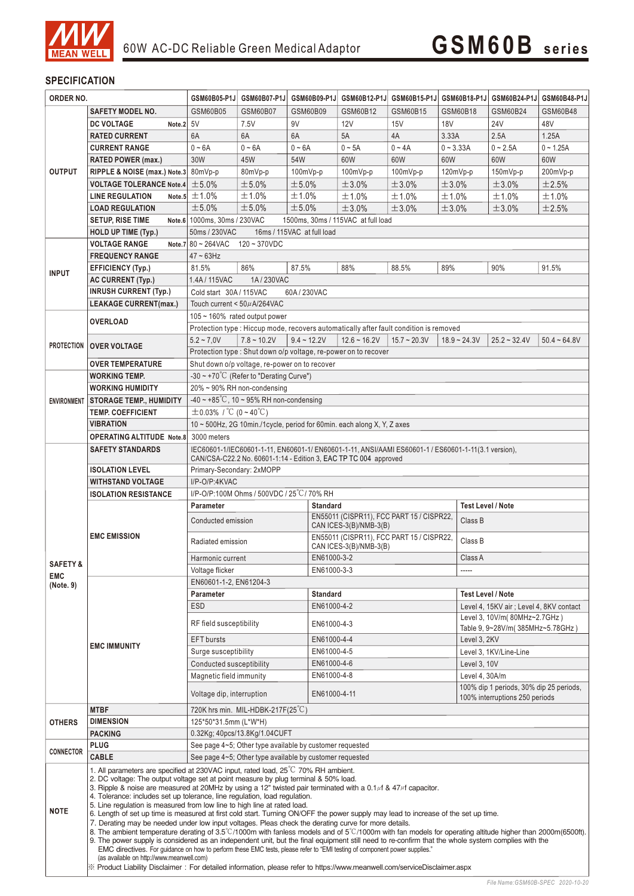

## **SPECIFICATION**

| ORDER NO.           |                                                                                                                                                                                                                                                                                                                                                                                                                                                                                                                                                                                                                                                                                                                                                                                                                                                                                                                                                                                                                                                                                                                                                                                            | GSM60B05-P1J                                                                                                                                                            | GSM60B07-P1J                                  | GSM60B09-P1J    |                                                                 | GSM60B12-P1J GSM60B15-P1J |                | GSM60B18-P1J GSM60B24-P1J                                                 | GSM60B48-P1J   |  |
|---------------------|--------------------------------------------------------------------------------------------------------------------------------------------------------------------------------------------------------------------------------------------------------------------------------------------------------------------------------------------------------------------------------------------------------------------------------------------------------------------------------------------------------------------------------------------------------------------------------------------------------------------------------------------------------------------------------------------------------------------------------------------------------------------------------------------------------------------------------------------------------------------------------------------------------------------------------------------------------------------------------------------------------------------------------------------------------------------------------------------------------------------------------------------------------------------------------------------|-------------------------------------------------------------------------------------------------------------------------------------------------------------------------|-----------------------------------------------|-----------------|-----------------------------------------------------------------|---------------------------|----------------|---------------------------------------------------------------------------|----------------|--|
|                     | <b>SAFETY MODEL NO.</b>                                                                                                                                                                                                                                                                                                                                                                                                                                                                                                                                                                                                                                                                                                                                                                                                                                                                                                                                                                                                                                                                                                                                                                    | GSM60B05                                                                                                                                                                | GSM60B07                                      | GSM60B09        | GSM60B12                                                        | GSM60B15                  | GSM60B18       | GSM60B24                                                                  | GSM60B48       |  |
|                     | <b>DC VOLTAGE</b><br>Note. $2 5V$                                                                                                                                                                                                                                                                                                                                                                                                                                                                                                                                                                                                                                                                                                                                                                                                                                                                                                                                                                                                                                                                                                                                                          |                                                                                                                                                                         | 7.5V                                          | 9V              | 12V                                                             | 15V                       | <b>18V</b>     | 24V                                                                       | 48V            |  |
|                     | <b>RATED CURRENT</b>                                                                                                                                                                                                                                                                                                                                                                                                                                                                                                                                                                                                                                                                                                                                                                                                                                                                                                                                                                                                                                                                                                                                                                       | 6A                                                                                                                                                                      | 6A                                            | 6A              | 5A                                                              | 4A                        | 3.33A          | 2.5A                                                                      | 1.25A          |  |
|                     | <b>CURRENT RANGE</b>                                                                                                                                                                                                                                                                                                                                                                                                                                                                                                                                                                                                                                                                                                                                                                                                                                                                                                                                                                                                                                                                                                                                                                       | $0 - 6A$                                                                                                                                                                | $0 - 6A$                                      | $0 - 6A$        | $0 \sim 5A$                                                     | $0 - 4A$                  | $0 - 3.33A$    | $0 - 2.5A$                                                                | $0 - 1.25A$    |  |
| <b>OUTPUT</b>       | <b>RATED POWER (max.)</b>                                                                                                                                                                                                                                                                                                                                                                                                                                                                                                                                                                                                                                                                                                                                                                                                                                                                                                                                                                                                                                                                                                                                                                  | 30W                                                                                                                                                                     | 45W                                           | 54W             | 60W                                                             | 60W                       | 60W            | 60W                                                                       | 60W            |  |
|                     | RIPPLE & NOISE (max.) Note.3 80mVp-p                                                                                                                                                                                                                                                                                                                                                                                                                                                                                                                                                                                                                                                                                                                                                                                                                                                                                                                                                                                                                                                                                                                                                       |                                                                                                                                                                         | 80mVp-p                                       | 100mVp-p        | $100mVp-p$                                                      | 100mVp-p                  | $120mVp-p$     | 150mVp-p                                                                  | 200mVp-p       |  |
|                     | <b>VOLTAGE TOLERANCE Note.4</b>                                                                                                                                                                                                                                                                                                                                                                                                                                                                                                                                                                                                                                                                                                                                                                                                                                                                                                                                                                                                                                                                                                                                                            | ±5.0%                                                                                                                                                                   | ±5.0%                                         | ±5.0%           | ±3.0%                                                           | ±3.0%                     | ±3.0%          | ±3.0%                                                                     | ±2.5%          |  |
|                     | <b>LINE REGULATION</b>                                                                                                                                                                                                                                                                                                                                                                                                                                                                                                                                                                                                                                                                                                                                                                                                                                                                                                                                                                                                                                                                                                                                                                     | Note.5 $\pm$ 1.0%                                                                                                                                                       | ±1.0%                                         | ±1.0%           | ±1.0%                                                           | ±1.0%                     | ±1.0%          | ±1.0%                                                                     | ±1.0%          |  |
|                     | <b>LOAD REGULATION</b>                                                                                                                                                                                                                                                                                                                                                                                                                                                                                                                                                                                                                                                                                                                                                                                                                                                                                                                                                                                                                                                                                                                                                                     | ±5.0%                                                                                                                                                                   | ±5.0%                                         | ±5.0%           | ±3.0%                                                           | ±3.0%                     | ±3.0%          | ±3.0%                                                                     | ±2.5%          |  |
|                     | <b>SETUP, RISE TIME</b>                                                                                                                                                                                                                                                                                                                                                                                                                                                                                                                                                                                                                                                                                                                                                                                                                                                                                                                                                                                                                                                                                                                                                                    |                                                                                                                                                                         |                                               |                 |                                                                 |                           |                |                                                                           |                |  |
|                     | <b>HOLD UP TIME (Typ.)</b>                                                                                                                                                                                                                                                                                                                                                                                                                                                                                                                                                                                                                                                                                                                                                                                                                                                                                                                                                                                                                                                                                                                                                                 | Note.6 1000ms. 30ms / 230VAC<br>1500ms, 30ms / 115VAC at full load<br>50ms / 230VAC<br>16ms / 115VAC at full load                                                       |                                               |                 |                                                                 |                           |                |                                                                           |                |  |
|                     | <b>VOLTAGE RANGE</b>                                                                                                                                                                                                                                                                                                                                                                                                                                                                                                                                                                                                                                                                                                                                                                                                                                                                                                                                                                                                                                                                                                                                                                       | Note.7 $80 \sim 264$ VAC                                                                                                                                                |                                               |                 |                                                                 |                           |                |                                                                           |                |  |
|                     | <b>FREQUENCY RANGE</b>                                                                                                                                                                                                                                                                                                                                                                                                                                                                                                                                                                                                                                                                                                                                                                                                                                                                                                                                                                                                                                                                                                                                                                     | 120~370VDC<br>$47 \sim 63$ Hz                                                                                                                                           |                                               |                 |                                                                 |                           |                |                                                                           |                |  |
|                     |                                                                                                                                                                                                                                                                                                                                                                                                                                                                                                                                                                                                                                                                                                                                                                                                                                                                                                                                                                                                                                                                                                                                                                                            | 81.5%                                                                                                                                                                   | 86%                                           | 87.5%           | 88%                                                             | 88.5%                     | 89%            | 90%                                                                       | 91.5%          |  |
| <b>INPUT</b>        | EFFICIENCY (Typ.)                                                                                                                                                                                                                                                                                                                                                                                                                                                                                                                                                                                                                                                                                                                                                                                                                                                                                                                                                                                                                                                                                                                                                                          |                                                                                                                                                                         |                                               |                 |                                                                 |                           |                |                                                                           |                |  |
|                     | <b>AC CURRENT (Typ.)</b><br><b>INRUSH CURRENT (Typ.)</b>                                                                                                                                                                                                                                                                                                                                                                                                                                                                                                                                                                                                                                                                                                                                                                                                                                                                                                                                                                                                                                                                                                                                   | 1.4A/115VAC<br>1A/230VAC                                                                                                                                                |                                               |                 |                                                                 |                           |                |                                                                           |                |  |
|                     | <b>LEAKAGE CURRENT(max.)</b>                                                                                                                                                                                                                                                                                                                                                                                                                                                                                                                                                                                                                                                                                                                                                                                                                                                                                                                                                                                                                                                                                                                                                               | Cold start 30A/115VAC<br>60A/230VAC                                                                                                                                     |                                               |                 |                                                                 |                           |                |                                                                           |                |  |
|                     |                                                                                                                                                                                                                                                                                                                                                                                                                                                                                                                                                                                                                                                                                                                                                                                                                                                                                                                                                                                                                                                                                                                                                                                            | Touch current < 50µA/264VAC                                                                                                                                             |                                               |                 |                                                                 |                           |                |                                                                           |                |  |
|                     | <b>OVERLOAD</b>                                                                                                                                                                                                                                                                                                                                                                                                                                                                                                                                                                                                                                                                                                                                                                                                                                                                                                                                                                                                                                                                                                                                                                            | 105 ~ 160% rated output power<br>Protection type : Hiccup mode, recovers automatically after fault condition is removed                                                 |                                               |                 |                                                                 |                           |                |                                                                           |                |  |
|                     |                                                                                                                                                                                                                                                                                                                                                                                                                                                                                                                                                                                                                                                                                                                                                                                                                                                                                                                                                                                                                                                                                                                                                                                            |                                                                                                                                                                         |                                               |                 |                                                                 |                           |                |                                                                           |                |  |
|                     | <b>PROTECTION   OVER VOLTAGE</b>                                                                                                                                                                                                                                                                                                                                                                                                                                                                                                                                                                                                                                                                                                                                                                                                                                                                                                                                                                                                                                                                                                                                                           | $5.2 - 7.0V$                                                                                                                                                            | $7.8 - 10.2V$                                 | $9.4 - 12.2V$   | $12.6 - 16.2V$                                                  | $15.7 - 20.3V$            | $18.9 - 24.3V$ | $25.2 - 32.4V$                                                            | $50.4 - 64.8V$ |  |
|                     |                                                                                                                                                                                                                                                                                                                                                                                                                                                                                                                                                                                                                                                                                                                                                                                                                                                                                                                                                                                                                                                                                                                                                                                            |                                                                                                                                                                         |                                               |                 | Protection type : Shut down o/p voltage, re-power on to recover |                           |                |                                                                           |                |  |
|                     | <b>OVER TEMPERATURE</b>                                                                                                                                                                                                                                                                                                                                                                                                                                                                                                                                                                                                                                                                                                                                                                                                                                                                                                                                                                                                                                                                                                                                                                    |                                                                                                                                                                         | Shut down o/p voltage, re-power on to recover |                 |                                                                 |                           |                |                                                                           |                |  |
|                     | <b>WORKING TEMP.</b>                                                                                                                                                                                                                                                                                                                                                                                                                                                                                                                                                                                                                                                                                                                                                                                                                                                                                                                                                                                                                                                                                                                                                                       | -30 ~ +70°C (Refer to "Derating Curve")<br>20% ~ 90% RH non-condensing                                                                                                  |                                               |                 |                                                                 |                           |                |                                                                           |                |  |
|                     | <b>WORKING HUMIDITY</b>                                                                                                                                                                                                                                                                                                                                                                                                                                                                                                                                                                                                                                                                                                                                                                                                                                                                                                                                                                                                                                                                                                                                                                    |                                                                                                                                                                         |                                               |                 |                                                                 |                           |                |                                                                           |                |  |
| <b>ENVIRONMENT</b>  | <b>STORAGE TEMP., HUMIDITY</b>                                                                                                                                                                                                                                                                                                                                                                                                                                                                                                                                                                                                                                                                                                                                                                                                                                                                                                                                                                                                                                                                                                                                                             | $-40 \sim +85^{\circ}C$ , 10 ~ 95% RH non-condensing                                                                                                                    |                                               |                 |                                                                 |                           |                |                                                                           |                |  |
|                     | <b>TEMP. COEFFICIENT</b>                                                                                                                                                                                                                                                                                                                                                                                                                                                                                                                                                                                                                                                                                                                                                                                                                                                                                                                                                                                                                                                                                                                                                                   | $\pm$ 0.03% / °C (0~40°C)                                                                                                                                               |                                               |                 |                                                                 |                           |                |                                                                           |                |  |
|                     | <b>VIBRATION</b>                                                                                                                                                                                                                                                                                                                                                                                                                                                                                                                                                                                                                                                                                                                                                                                                                                                                                                                                                                                                                                                                                                                                                                           | 10 ~ 500Hz, 2G 10min./1cycle, period for 60min. each along X, Y, Z axes                                                                                                 |                                               |                 |                                                                 |                           |                |                                                                           |                |  |
|                     | <b>OPERATING ALTITUDE Note.8</b>                                                                                                                                                                                                                                                                                                                                                                                                                                                                                                                                                                                                                                                                                                                                                                                                                                                                                                                                                                                                                                                                                                                                                           | 3000 meters                                                                                                                                                             |                                               |                 |                                                                 |                           |                |                                                                           |                |  |
|                     | <b>SAFETY STANDARDS</b>                                                                                                                                                                                                                                                                                                                                                                                                                                                                                                                                                                                                                                                                                                                                                                                                                                                                                                                                                                                                                                                                                                                                                                    | IEC60601-1/IEC60601-1-11, EN60601-1/ EN60601-1-11, ANSI/AAMI ES60601-1 / ES60601-1-11(3.1 version),<br>CAN/CSA-C22.2 No. 60601-1:14 - Edition 3, EAC TP TC 004 approved |                                               |                 |                                                                 |                           |                |                                                                           |                |  |
|                     | <b>ISOLATION LEVEL</b>                                                                                                                                                                                                                                                                                                                                                                                                                                                                                                                                                                                                                                                                                                                                                                                                                                                                                                                                                                                                                                                                                                                                                                     | Primary-Secondary: 2xMOPP                                                                                                                                               |                                               |                 |                                                                 |                           |                |                                                                           |                |  |
|                     | <b>WITHSTAND VOLTAGE</b>                                                                                                                                                                                                                                                                                                                                                                                                                                                                                                                                                                                                                                                                                                                                                                                                                                                                                                                                                                                                                                                                                                                                                                   | I/P-O/P:4KVAC                                                                                                                                                           |                                               |                 |                                                                 |                           |                |                                                                           |                |  |
|                     | <b>ISOLATION RESISTANCE</b>                                                                                                                                                                                                                                                                                                                                                                                                                                                                                                                                                                                                                                                                                                                                                                                                                                                                                                                                                                                                                                                                                                                                                                |                                                                                                                                                                         | I/P-O/P:100M Ohms / 500VDC / 25 °C / 70% RH   |                 |                                                                 |                           |                |                                                                           |                |  |
|                     |                                                                                                                                                                                                                                                                                                                                                                                                                                                                                                                                                                                                                                                                                                                                                                                                                                                                                                                                                                                                                                                                                                                                                                                            | <b>Parameter</b>                                                                                                                                                        |                                               | <b>Standard</b> |                                                                 |                           |                | <b>Test Level / Note</b>                                                  |                |  |
|                     | <b>EMC EMISSION</b>                                                                                                                                                                                                                                                                                                                                                                                                                                                                                                                                                                                                                                                                                                                                                                                                                                                                                                                                                                                                                                                                                                                                                                        | EN55011 (CISPR11), FCC PART 15 / CISPR22,<br>Conducted emission                                                                                                         |                                               |                 |                                                                 |                           | Class B        |                                                                           |                |  |
|                     |                                                                                                                                                                                                                                                                                                                                                                                                                                                                                                                                                                                                                                                                                                                                                                                                                                                                                                                                                                                                                                                                                                                                                                                            | CAN ICES-3(B)/NMB-3(B)<br>EN55011 (CISPR11), FCC PART 15 / CISPR22,                                                                                                     |                                               |                 |                                                                 |                           |                |                                                                           |                |  |
|                     |                                                                                                                                                                                                                                                                                                                                                                                                                                                                                                                                                                                                                                                                                                                                                                                                                                                                                                                                                                                                                                                                                                                                                                                            | Radiated emission                                                                                                                                                       |                                               |                 | CAN ICES-3(B)/NMB-3(B)                                          |                           |                | Class B                                                                   |                |  |
| <b>SAFETY &amp;</b> |                                                                                                                                                                                                                                                                                                                                                                                                                                                                                                                                                                                                                                                                                                                                                                                                                                                                                                                                                                                                                                                                                                                                                                                            |                                                                                                                                                                         | EN61000-3-2<br>Harmonic current               |                 |                                                                 | Class A                   |                |                                                                           |                |  |
| <b>EMC</b>          |                                                                                                                                                                                                                                                                                                                                                                                                                                                                                                                                                                                                                                                                                                                                                                                                                                                                                                                                                                                                                                                                                                                                                                                            | Voltage flicker                                                                                                                                                         |                                               |                 | EN61000-3-3                                                     |                           |                | -----                                                                     |                |  |
| (Note. 9)           | <b>EMC IMMUNITY</b>                                                                                                                                                                                                                                                                                                                                                                                                                                                                                                                                                                                                                                                                                                                                                                                                                                                                                                                                                                                                                                                                                                                                                                        | EN60601-1-2, EN61204-3                                                                                                                                                  |                                               |                 |                                                                 |                           |                |                                                                           |                |  |
|                     |                                                                                                                                                                                                                                                                                                                                                                                                                                                                                                                                                                                                                                                                                                                                                                                                                                                                                                                                                                                                                                                                                                                                                                                            | <b>Parameter</b>                                                                                                                                                        | <b>Standard</b>                               |                 |                                                                 | <b>Test Level / Note</b>  |                |                                                                           |                |  |
|                     |                                                                                                                                                                                                                                                                                                                                                                                                                                                                                                                                                                                                                                                                                                                                                                                                                                                                                                                                                                                                                                                                                                                                                                                            | <b>ESD</b>                                                                                                                                                              |                                               |                 | EN61000-4-2                                                     |                           |                | Level 4, 15KV air; Level 4, 8KV contact                                   |                |  |
|                     |                                                                                                                                                                                                                                                                                                                                                                                                                                                                                                                                                                                                                                                                                                                                                                                                                                                                                                                                                                                                                                                                                                                                                                                            | RF field susceptibility                                                                                                                                                 |                                               |                 | EN61000-4-3                                                     |                           |                | Level 3, 10V/m(80MHz~2.7GHz)<br>Table 9, 9~28V/m(385MHz~5.78GHz)          |                |  |
|                     |                                                                                                                                                                                                                                                                                                                                                                                                                                                                                                                                                                                                                                                                                                                                                                                                                                                                                                                                                                                                                                                                                                                                                                                            | <b>EFT</b> bursts                                                                                                                                                       |                                               |                 | EN61000-4-4                                                     |                           |                | Level 3. 2KV                                                              |                |  |
|                     |                                                                                                                                                                                                                                                                                                                                                                                                                                                                                                                                                                                                                                                                                                                                                                                                                                                                                                                                                                                                                                                                                                                                                                                            | Surge susceptibility                                                                                                                                                    |                                               |                 | EN61000-4-5                                                     |                           |                | Level 3, 1KV/Line-Line                                                    |                |  |
|                     |                                                                                                                                                                                                                                                                                                                                                                                                                                                                                                                                                                                                                                                                                                                                                                                                                                                                                                                                                                                                                                                                                                                                                                                            | EN61000-4-6<br>Conducted susceptibility                                                                                                                                 |                                               |                 |                                                                 | <b>Level 3, 10V</b>       |                |                                                                           |                |  |
|                     |                                                                                                                                                                                                                                                                                                                                                                                                                                                                                                                                                                                                                                                                                                                                                                                                                                                                                                                                                                                                                                                                                                                                                                                            | Magnetic field immunity<br>EN61000-4-8                                                                                                                                  |                                               |                 |                                                                 |                           | Level 4, 30A/m |                                                                           |                |  |
|                     |                                                                                                                                                                                                                                                                                                                                                                                                                                                                                                                                                                                                                                                                                                                                                                                                                                                                                                                                                                                                                                                                                                                                                                                            |                                                                                                                                                                         | Voltage dip, interruption<br>EN61000-4-11     |                 |                                                                 |                           |                | 100% dip 1 periods, 30% dip 25 periods,<br>100% interruptions 250 periods |                |  |
|                     | <b>MTBF</b>                                                                                                                                                                                                                                                                                                                                                                                                                                                                                                                                                                                                                                                                                                                                                                                                                                                                                                                                                                                                                                                                                                                                                                                | 720K hrs min. MIL-HDBK-217F(25 $\degree$ C)                                                                                                                             |                                               |                 |                                                                 |                           |                |                                                                           |                |  |
| <b>OTHERS</b>       | <b>DIMENSION</b>                                                                                                                                                                                                                                                                                                                                                                                                                                                                                                                                                                                                                                                                                                                                                                                                                                                                                                                                                                                                                                                                                                                                                                           | 125*50*31.5mm (L*W*H)                                                                                                                                                   |                                               |                 |                                                                 |                           |                |                                                                           |                |  |
|                     | <b>PACKING</b>                                                                                                                                                                                                                                                                                                                                                                                                                                                                                                                                                                                                                                                                                                                                                                                                                                                                                                                                                                                                                                                                                                                                                                             | 0.32Kg; 40pcs/13.8Kg/1.04CUFT                                                                                                                                           |                                               |                 |                                                                 |                           |                |                                                                           |                |  |
| <b>CONNECTOR</b>    | <b>PLUG</b>                                                                                                                                                                                                                                                                                                                                                                                                                                                                                                                                                                                                                                                                                                                                                                                                                                                                                                                                                                                                                                                                                                                                                                                | See page 4~5; Other type available by customer requested                                                                                                                |                                               |                 |                                                                 |                           |                |                                                                           |                |  |
|                     | <b>CABLE</b>                                                                                                                                                                                                                                                                                                                                                                                                                                                                                                                                                                                                                                                                                                                                                                                                                                                                                                                                                                                                                                                                                                                                                                               | See page 4~5; Other type available by customer requested                                                                                                                |                                               |                 |                                                                 |                           |                |                                                                           |                |  |
| <b>NOTE</b>         | 1. All parameters are specified at 230VAC input, rated load, $25^{\circ}$ C 70% RH ambient.<br>2. DC voltage: The output voltage set at point measure by plug terminal & 50% load.<br>3. Ripple & noise are measured at 20MHz by using a 12" twisted pair terminated with a $0.1\mu$ f & $47\mu$ f capacitor.<br>4. Tolerance: includes set up tolerance, line regulation, load regulation.<br>5. Line regulation is measured from low line to high line at rated load.<br>6. Length of set up time is measured at first cold start. Turning ON/OFF the power supply may lead to increase of the set up time.<br>7. Derating may be needed under low input voltages. Pleas check the derating curve for more details.<br>8. The ambient temperature derating of $3.5^{\circ}$ C/1000m with fanless models and of $5^{\circ}$ C/1000m with fan models for operating altitude higher than 2000m(6500ft).<br>9. The power supply is considered as an independent unit, but the final equipment still need to re-confirm that the whole system complies with the<br>EMC directives. For guidance on how to perform these EMC tests, please refer to "EMI testing of component power supplies." |                                                                                                                                                                         |                                               |                 |                                                                 |                           |                |                                                                           |                |  |
|                     | (as available on http://www.meanwell.com)<br>X Product Liability Disclaimer: For detailed information, please refer to https://www.meanwell.com/serviceDisclaimer.aspx                                                                                                                                                                                                                                                                                                                                                                                                                                                                                                                                                                                                                                                                                                                                                                                                                                                                                                                                                                                                                     |                                                                                                                                                                         |                                               |                 |                                                                 |                           |                |                                                                           |                |  |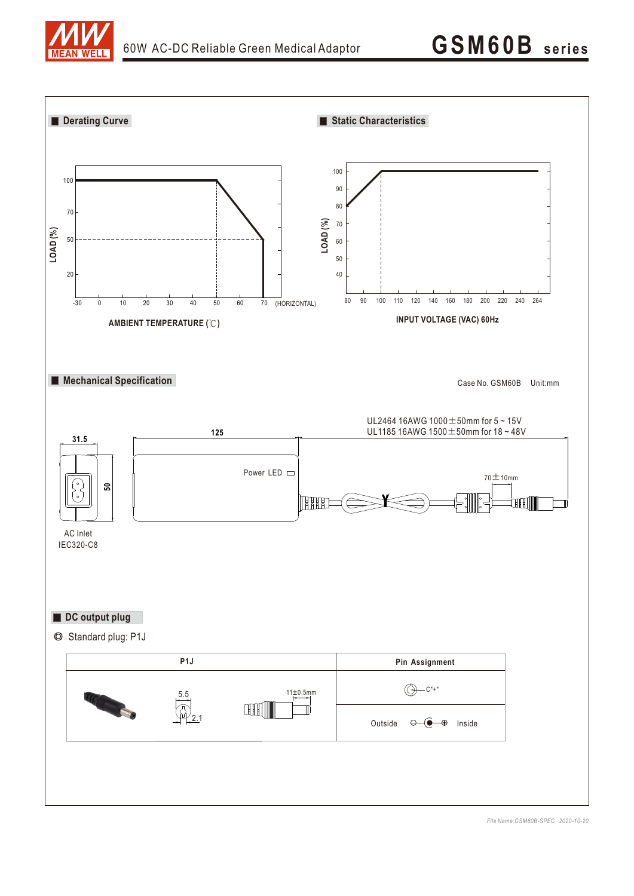

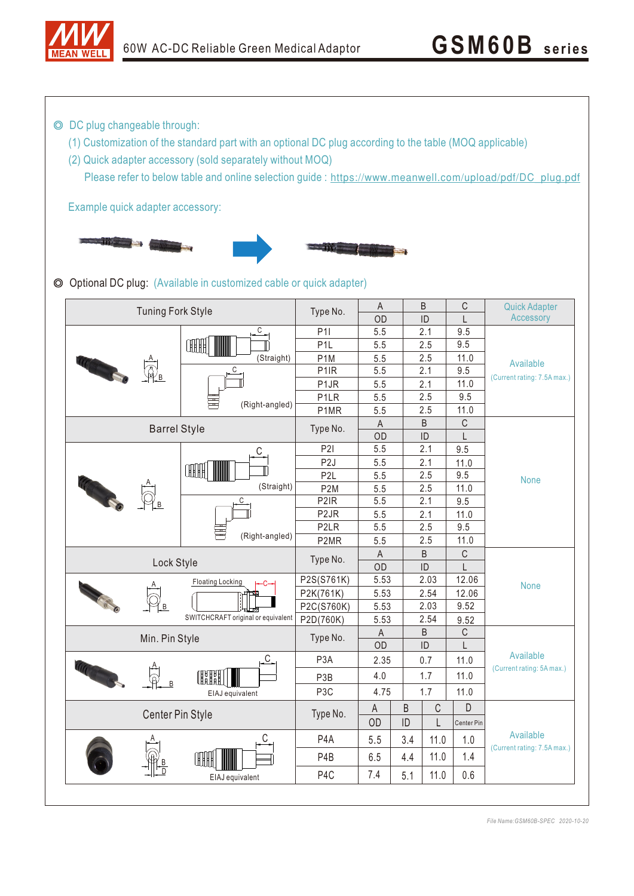

◎ DC plug changeable through:

- (1) Customization of the standard part with an optional DC plug according to the table (MOQ applicable)
- (2) Quick adapter accessory (sold separately without MOQ)

Please refer to below table and online selection guide : https://www.meanwell.com/upload/pdf/DC\_plug.pdf

Example quick adapter accessory:



◎ Optional DC plug: (Available in customized cable or quick adapter)

| <b>Tuning Fork Style</b>                                      | Type No.                           | $\mathsf A$       | B    |                     | $\mathbb C$  | <b>Quick Adapter</b> |                             |  |
|---------------------------------------------------------------|------------------------------------|-------------------|------|---------------------|--------------|----------------------|-----------------------------|--|
|                                                               |                                    | OD                |      | ID                  | $\mathsf{I}$ | Accessory            |                             |  |
|                                                               | С                                  | P11               | 5.5  |                     | 2.1          | 9.5                  |                             |  |
|                                                               | <b>COTHER</b><br>(Straight)        | P <sub>1</sub> L  | 5.5  |                     | 2.5          | 9.5                  |                             |  |
|                                                               |                                    | P <sub>1</sub> M  | 5.5  |                     | 2.5          | 11.0                 | Available                   |  |
| <b>TEST CONTINUES</b><br>$\bigoplus_{\underline{\mathsf{B}}}$ | С<br>(Right-angled)                | P <sub>1</sub> IR | 5.5  |                     | 2.1          | 9.5                  | (Current rating: 7.5A max.) |  |
|                                                               |                                    | P <sub>1</sub> JR | 5.5  |                     | 2.1          | 11.0                 |                             |  |
|                                                               |                                    | P <sub>1</sub> LR | 5.5  |                     | 2.5          | 9.5                  |                             |  |
|                                                               |                                    | P1MR              | 5.5  |                     | 2.5          | 11.0                 |                             |  |
| <b>Barrel Style</b>                                           | Type No.                           | $\mathsf A$       |      | B                   | $\mathsf C$  |                      |                             |  |
|                                                               |                                    |                   | OD   |                     | ID           | L                    |                             |  |
|                                                               | С<br>ŒĦ                            | P2I               | 5.5  |                     | 2.1          | 9.5                  |                             |  |
|                                                               |                                    | P <sub>2</sub> J  | 5.5  |                     | 2.1          | 11.0                 |                             |  |
|                                                               |                                    | P <sub>2L</sub>   | 5.5  |                     | 2.5          | 9.5                  | <b>None</b>                 |  |
|                                                               | (Straight)                         | P <sub>2</sub> M  | 5.5  |                     | 2.5          | 11.0                 |                             |  |
|                                                               | С<br>(Right-angled)                | P <sub>2</sub> IR | 5.5  |                     | 2.1          | 9.5                  |                             |  |
|                                                               |                                    | P <sub>2</sub> JR | 5.5  |                     | 2.1          | 11.0                 |                             |  |
|                                                               |                                    | P <sub>2</sub> LR | 5.5  |                     | 2.5          | 9.5                  |                             |  |
|                                                               |                                    | P2MR              | 5.5  |                     | 2.5          | 11.0                 |                             |  |
|                                                               | Type No.                           | $\mathsf A$<br>B  |      |                     | $\mathsf C$  |                      |                             |  |
|                                                               | Lock Style                         |                   |      | $\mathsf{ID}$<br>OD |              | L                    |                             |  |
|                                                               | <b>Floating Locking</b>            | P2S(S761K)        | 5.53 | 2.03                |              | 12.06                | <b>None</b>                 |  |
|                                                               |                                    | P2K(761K)         | 5.53 |                     | 2.54         | 12.06                |                             |  |
| ΈB                                                            |                                    | P2C(S760K)        | 5.53 |                     | 9.52<br>2.03 |                      |                             |  |
|                                                               | SWITCHCRAFT original or equivalent | P2D(760K)         | 5.53 | 2.54                |              | 9.52                 |                             |  |
|                                                               | Type No.                           | B<br>$\mathsf A$  |      |                     | C            |                      |                             |  |
|                                                               | Min. Pin Style                     |                   |      | ID                  |              | I                    |                             |  |
|                                                               | C.                                 | P <sub>3</sub> A  | 2.35 | 0.7                 |              | 11.0                 | Available                   |  |
|                                                               | ŒH<br>EIAJ equivalent              | P <sub>3</sub> B  | 4.0  |                     | 1.7          | 11.0                 | (Current rating: 5A max.)   |  |
|                                                               |                                    | P <sub>3</sub> C  | 4.75 |                     | 1.7          | 11.0                 |                             |  |
|                                                               |                                    | $\mathsf{A}$      | B    | $\mathsf C$         | D            |                      |                             |  |
| Center Pin Style                                              | Type No.                           | OD                | ID   | L                   | Center Pin   |                      |                             |  |
|                                                               | С                                  | P <sub>4</sub> A  | 5.5  | 3.4                 | 11.0         | 1.0                  | Available                   |  |
|                                                               |                                    | P <sub>4</sub> B  | 6.5  | 4.4                 | 11.0         | 1.4                  | (Current rating: 7.5A max.) |  |
|                                                               | EIAJ equivalent                    | P <sub>4</sub> C  | 7.4  | 5.1                 | 11.0         | 0.6                  |                             |  |
|                                                               |                                    |                   |      |                     |              |                      |                             |  |

*File Name:GSM60B-SPEC 2020-10-20*